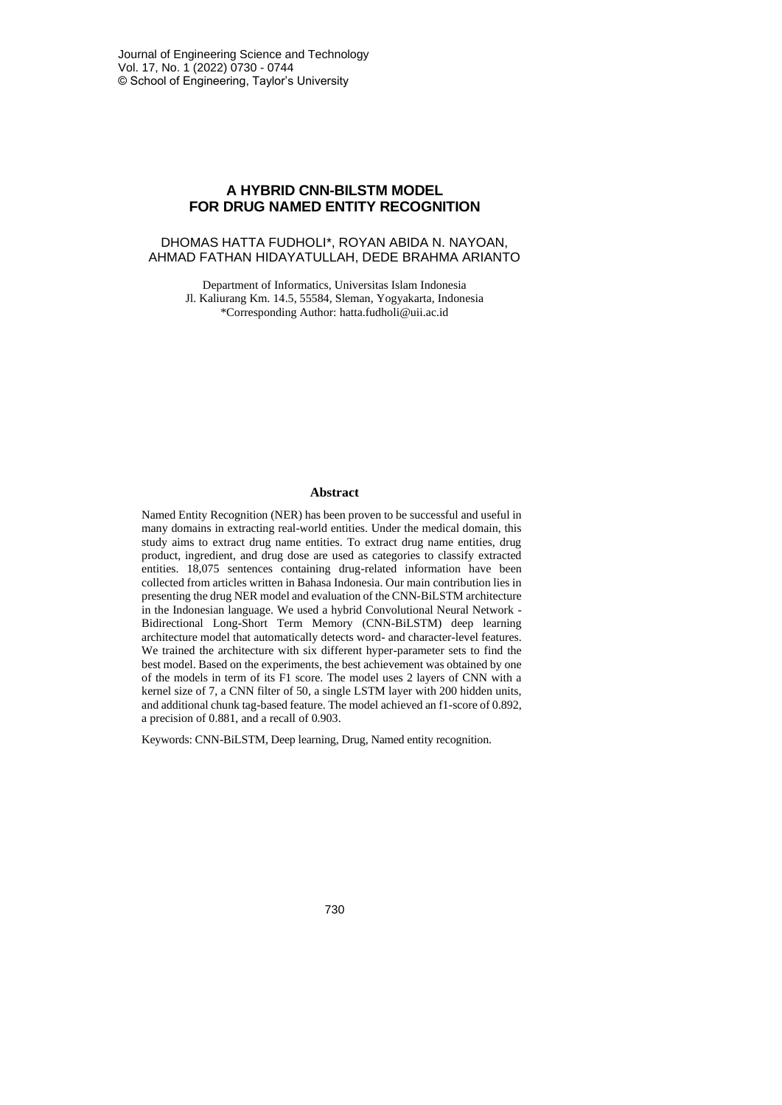## **A HYBRID CNN-BILSTM MODEL FOR DRUG NAMED ENTITY RECOGNITION**

## DHOMAS HATTA FUDHOLI\*, ROYAN ABIDA N. NAYOAN, AHMAD FATHAN HIDAYATULLAH, DEDE BRAHMA ARIANTO

Department of Informatics, Universitas Islam Indonesia Jl. Kaliurang Km. 14.5, 55584, Sleman, Yogyakarta, Indonesia \*Corresponding Author: hatta.fudholi@uii.ac.id

#### **Abstract**

Named Entity Recognition (NER) has been proven to be successful and useful in many domains in extracting real-world entities. Under the medical domain, this study aims to extract drug name entities. To extract drug name entities, drug product, ingredient, and drug dose are used as categories to classify extracted entities. 18,075 sentences containing drug-related information have been collected from articles written in Bahasa Indonesia. Our main contribution lies in presenting the drug NER model and evaluation of the CNN-BiLSTM architecture in the Indonesian language. We used a hybrid Convolutional Neural Network - Bidirectional Long-Short Term Memory (CNN-BiLSTM) deep learning architecture model that automatically detects word- and character-level features. We trained the architecture with six different hyper-parameter sets to find the best model. Based on the experiments, the best achievement was obtained by one of the models in term of its F1 score. The model uses 2 layers of CNN with a kernel size of 7, a CNN filter of 50, a single LSTM layer with 200 hidden units, and additional chunk tag-based feature. The model achieved an f1-score of 0.892, a precision of 0.881, and a recall of 0.903.

Keywords: CNN-BiLSTM, Deep learning, Drug, Named entity recognition.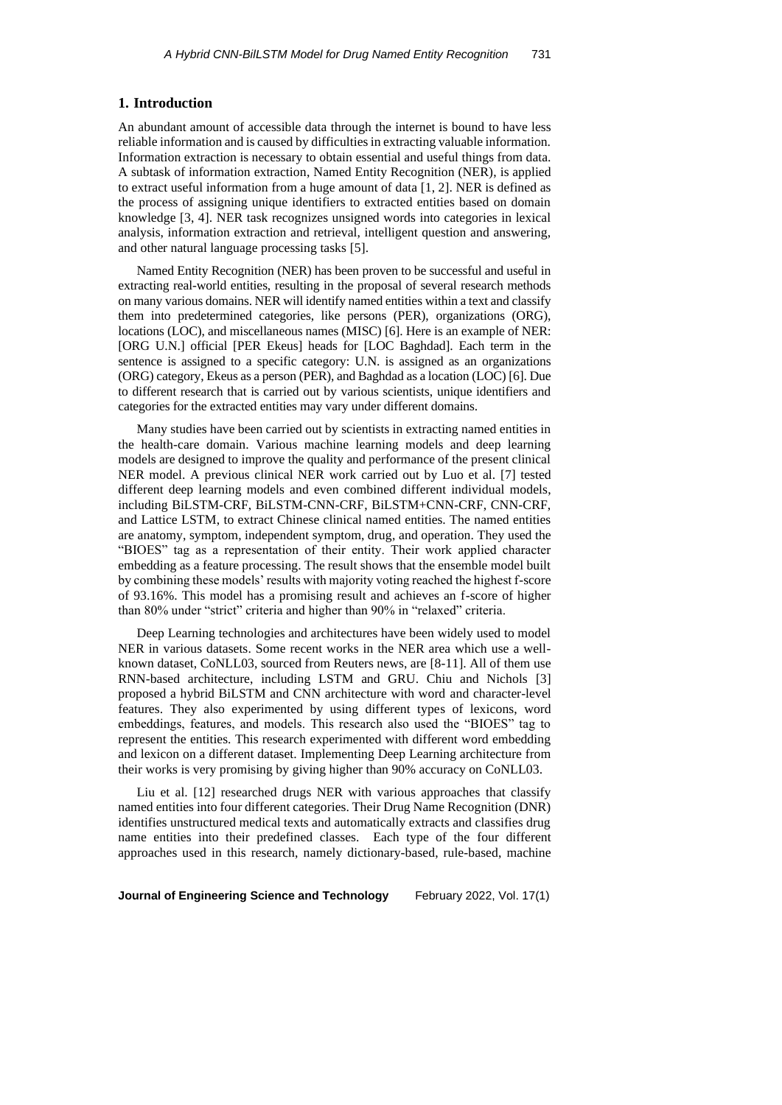#### **1. Introduction**

An abundant amount of accessible data through the internet is bound to have less reliable information and is caused by difficulties in extracting valuable information. Information extraction is necessary to obtain essential and useful things from data. A subtask of information extraction, Named Entity Recognition (NER), is applied to extract useful information from a huge amount of data [1, 2]. NER is defined as the process of assigning unique identifiers to extracted entities based on domain knowledge [3, 4]. NER task recognizes unsigned words into categories in lexical analysis, information extraction and retrieval, intelligent question and answering, and other natural language processing tasks [5].

Named Entity Recognition (NER) has been proven to be successful and useful in extracting real-world entities, resulting in the proposal of several research methods on many various domains. NER will identify named entities within a text and classify them into predetermined categories, like persons (PER), organizations (ORG), locations (LOC), and miscellaneous names (MISC) [6]. Here is an example of NER: [ORG U.N.] official [PER Ekeus] heads for [LOC Baghdad]. Each term in the sentence is assigned to a specific category: U.N. is assigned as an organizations (ORG) category, Ekeus as a person (PER), and Baghdad as a location (LOC) [6]. Due to different research that is carried out by various scientists, unique identifiers and categories for the extracted entities may vary under different domains.

Many studies have been carried out by scientists in extracting named entities in the health-care domain. Various machine learning models and deep learning models are designed to improve the quality and performance of the present clinical NER model. A previous clinical NER work carried out by Luo et al. [7] tested different deep learning models and even combined different individual models, including BiLSTM-CRF, BiLSTM-CNN-CRF, BiLSTM+CNN-CRF, CNN-CRF, and Lattice LSTM, to extract Chinese clinical named entities. The named entities are anatomy, symptom, independent symptom, drug, and operation. They used the "BIOES" tag as a representation of their entity. Their work applied character embedding as a feature processing. The result shows that the ensemble model built by combining these models' results with majority voting reached the highest f-score of 93.16%. This model has a promising result and achieves an f-score of higher than 80% under "strict" criteria and higher than 90% in "relaxed" criteria.

Deep Learning technologies and architectures have been widely used to model NER in various datasets. Some recent works in the NER area which use a wellknown dataset, CoNLL03, sourced from Reuters news, are [8-11]. All of them use RNN-based architecture, including LSTM and GRU. Chiu and Nichols [3] proposed a hybrid BiLSTM and CNN architecture with word and character-level features. They also experimented by using different types of lexicons, word embeddings, features, and models. This research also used the "BIOES" tag to represent the entities. This research experimented with different word embedding and lexicon on a different dataset. Implementing Deep Learning architecture from their works is very promising by giving higher than 90% accuracy on CoNLL03.

Liu et al. [12] researched drugs NER with various approaches that classify named entities into four different categories. Their Drug Name Recognition (DNR) identifies unstructured medical texts and automatically extracts and classifies drug name entities into their predefined classes. Each type of the four different approaches used in this research, namely dictionary-based, rule-based, machine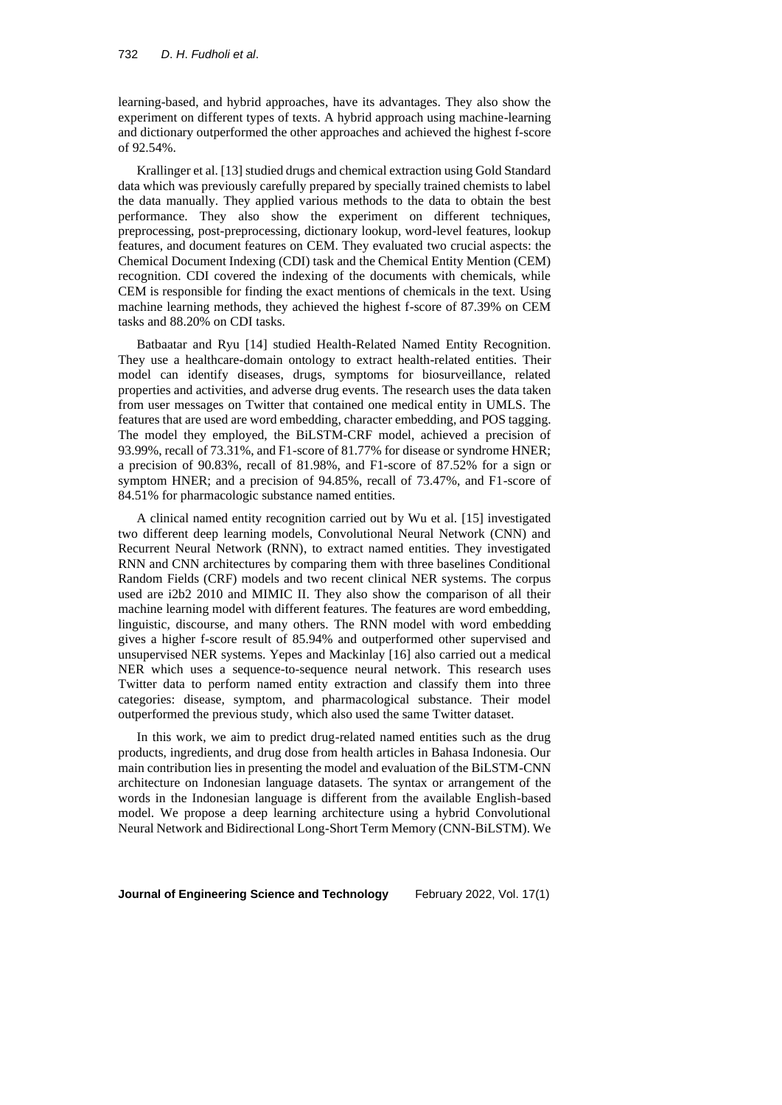learning-based, and hybrid approaches, have its advantages. They also show the experiment on different types of texts. A hybrid approach using machine-learning and dictionary outperformed the other approaches and achieved the highest f-score of 92.54%.

Krallinger et al. [13] studied drugs and chemical extraction using Gold Standard data which was previously carefully prepared by specially trained chemists to label the data manually. They applied various methods to the data to obtain the best performance. They also show the experiment on different techniques, preprocessing, post-preprocessing, dictionary lookup, word-level features, lookup features, and document features on CEM. They evaluated two crucial aspects: the Chemical Document Indexing (CDI) task and the Chemical Entity Mention (CEM) recognition. CDI covered the indexing of the documents with chemicals, while CEM is responsible for finding the exact mentions of chemicals in the text. Using machine learning methods, they achieved the highest f-score of 87.39% on CEM tasks and 88.20% on CDI tasks.

Batbaatar and Ryu [14] studied Health-Related Named Entity Recognition. They use a healthcare-domain ontology to extract health-related entities. Their model can identify diseases, drugs, symptoms for biosurveillance, related properties and activities, and adverse drug events. The research uses the data taken from user messages on Twitter that contained one medical entity in UMLS. The features that are used are word embedding, character embedding, and POS tagging. The model they employed, the BiLSTM-CRF model, achieved a precision of 93.99%, recall of 73.31%, and F1-score of 81.77% for disease or syndrome HNER; a precision of 90.83%, recall of 81.98%, and F1-score of 87.52% for a sign or symptom HNER; and a precision of 94.85%, recall of 73.47%, and F1-score of 84.51% for pharmacologic substance named entities.

A clinical named entity recognition carried out by Wu et al. [15] investigated two different deep learning models, Convolutional Neural Network (CNN) and Recurrent Neural Network (RNN), to extract named entities. They investigated RNN and CNN architectures by comparing them with three baselines Conditional Random Fields (CRF) models and two recent clinical NER systems. The corpus used are i2b2 2010 and MIMIC II. They also show the comparison of all their machine learning model with different features. The features are word embedding, linguistic, discourse, and many others. The RNN model with word embedding gives a higher f-score result of 85.94% and outperformed other supervised and unsupervised NER systems. Yepes and Mackinlay [16] also carried out a medical NER which uses a sequence-to-sequence neural network. This research uses Twitter data to perform named entity extraction and classify them into three categories: disease, symptom, and pharmacological substance. Their model outperformed the previous study, which also used the same Twitter dataset.

In this work, we aim to predict drug-related named entities such as the drug products, ingredients, and drug dose from health articles in Bahasa Indonesia. Our main contribution lies in presenting the model and evaluation of the BiLSTM-CNN architecture on Indonesian language datasets. The syntax or arrangement of the words in the Indonesian language is different from the available English-based model. We propose a deep learning architecture using a hybrid Convolutional Neural Network and Bidirectional Long-Short Term Memory (CNN-BiLSTM). We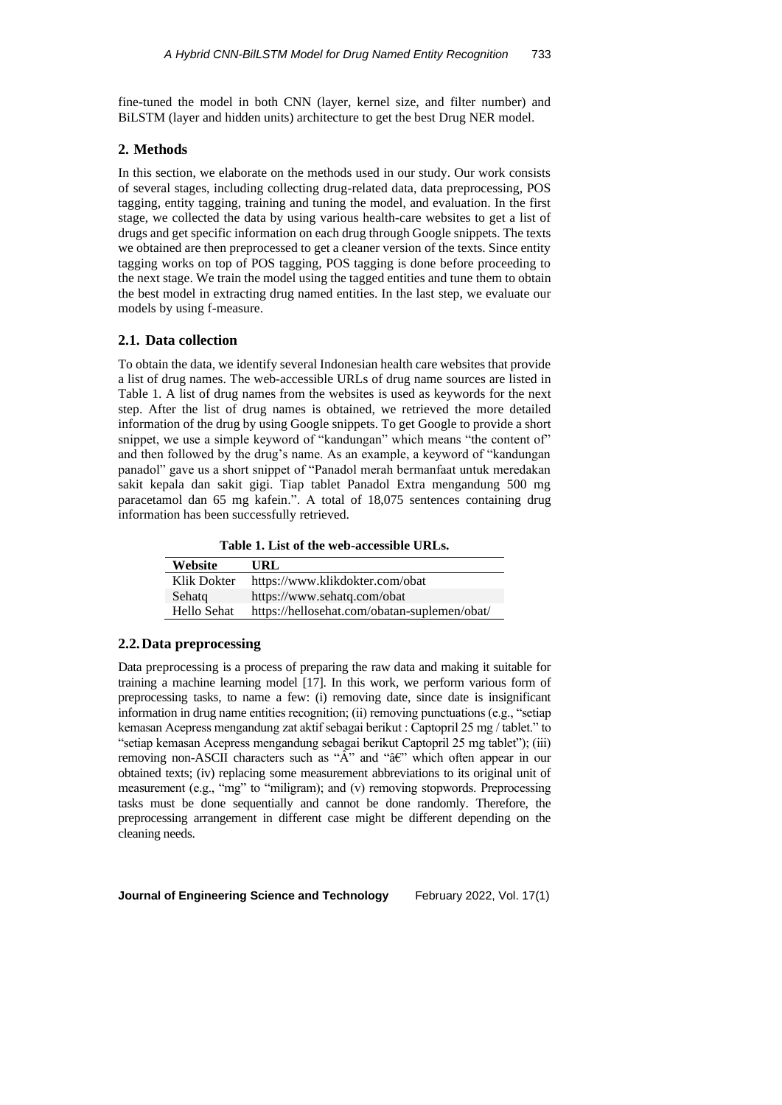fine-tuned the model in both CNN (layer, kernel size, and filter number) and BiLSTM (layer and hidden units) architecture to get the best Drug NER model.

#### **2. Methods**

In this section, we elaborate on the methods used in our study. Our work consists of several stages, including collecting drug-related data, data preprocessing, POS tagging, entity tagging, training and tuning the model, and evaluation. In the first stage, we collected the data by using various health-care websites to get a list of drugs and get specific information on each drug through Google snippets. The texts we obtained are then preprocessed to get a cleaner version of the texts. Since entity tagging works on top of POS tagging, POS tagging is done before proceeding to the next stage. We train the model using the tagged entities and tune them to obtain the best model in extracting drug named entities. In the last step, we evaluate our models by using f-measure.

#### **2.1. Data collection**

To obtain the data, we identify several Indonesian health care websites that provide a list of drug names. The web-accessible URLs of drug name sources are listed in Table 1. A list of drug names from the websites is used as keywords for the next step. After the list of drug names is obtained, we retrieved the more detailed information of the drug by using Google snippets. To get Google to provide a short snippet, we use a simple keyword of "kandungan" which means "the content of" and then followed by the drug's name. As an example, a keyword of "kandungan panadol" gave us a short snippet of "Panadol merah bermanfaat untuk meredakan sakit kepala dan sakit gigi. Tiap tablet Panadol Extra mengandung 500 mg paracetamol dan 65 mg kafein.". A total of 18,075 sentences containing drug information has been successfully retrieved.

**Table 1. List of the web-accessible URLs.**

| Website     | URL                                          |
|-------------|----------------------------------------------|
| Klik Dokter | https://www.klikdokter.com/obat              |
| Sehatq      | https://www.sehatq.com/obat                  |
| Hello Sehat | https://hellosehat.com/obatan-suplemen/obat/ |

# **2.2.Data preprocessing**

Data preprocessing is a process of preparing the raw data and making it suitable for training a machine learning model [17]. In this work, we perform various form of preprocessing tasks, to name a few: (i) removing date, since date is insignificant information in drug name entities recognition; (ii) removing punctuations (e.g., "setiap kemasan Acepress mengandung zat aktif sebagai berikut : Captopril 25 mg / tablet." to "setiap kemasan Acepress mengandung sebagai berikut Captopril 25 mg tablet"); (iii) removing non-ASCII characters such as " $\hat{A}$ " and " $\hat{a}\hat{\epsilon}$ " which often appear in our obtained texts; (iv) replacing some measurement abbreviations to its original unit of measurement (e.g., "mg" to "miligram); and (v) removing stopwords. Preprocessing tasks must be done sequentially and cannot be done randomly. Therefore, the preprocessing arrangement in different case might be different depending on the cleaning needs.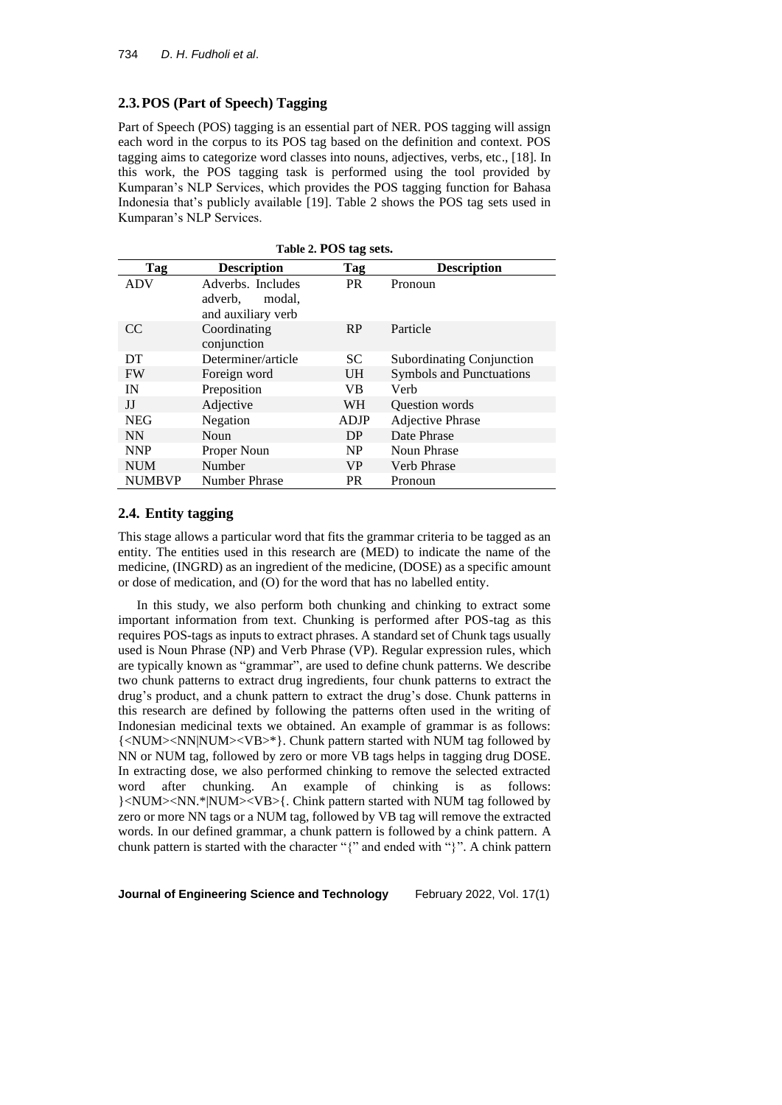#### **2.3.POS (Part of Speech) Tagging**

Part of Speech (POS) tagging is an essential part of NER. POS tagging will assign each word in the corpus to its POS tag based on the definition and context. POS tagging aims to categorize word classes into nouns, adjectives, verbs, etc., [18]. In this work, the POS tagging task is performed using the tool provided by Kumparan's NLP Services, which provides the POS tagging function for Bahasa Indonesia that's publicly available [19]. Table 2 shows the POS tag sets used in Kumparan's NLP Services.

**Table 2. POS tag sets.**

| Tag           | <b>Description</b>   | Tag         | <b>Description</b>              |
|---------------|----------------------|-------------|---------------------------------|
| <b>ADV</b>    | Adverbs. Includes    | <b>PR</b>   | Pronoun                         |
|               | adverb.<br>modal.    |             |                                 |
|               | and auxiliary verb   |             |                                 |
| CC            | Coordinating         | <b>RP</b>   | Particle                        |
|               | conjunction          |             |                                 |
| DT            | Determiner/article   | <b>SC</b>   | Subordinating Conjunction       |
| <b>FW</b>     | Foreign word         | <b>UH</b>   | <b>Symbols and Punctuations</b> |
| IN            | Preposition          | VB.         | Verb                            |
| ЛJ            | Adjective            | WH          | Question words                  |
| <b>NEG</b>    | Negation             | <b>ADJP</b> | <b>Adjective Phrase</b>         |
| <b>NN</b>     | Noun                 | DP          | Date Phrase                     |
| <b>NNP</b>    | Proper Noun          | <b>NP</b>   | Noun Phrase                     |
| <b>NUM</b>    | Number               | <b>VP</b>   | Verb Phrase                     |
| <b>NUMBVP</b> | <b>Number Phrase</b> | <b>PR</b>   | Pronoun                         |

# **2.4. Entity tagging**

This stage allows a particular word that fits the grammar criteria to be tagged as an entity. The entities used in this research are (MED) to indicate the name of the medicine, (INGRD) as an ingredient of the medicine, (DOSE) as a specific amount or dose of medication, and (O) for the word that has no labelled entity.

In this study, we also perform both chunking and chinking to extract some important information from text. Chunking is performed after POS-tag as this requires POS-tags as inputs to extract phrases. A standard set of Chunk tags usually used is Noun Phrase (NP) and Verb Phrase (VP). Regular expression rules, which are typically known as "grammar", are used to define chunk patterns. We describe two chunk patterns to extract drug ingredients, four chunk patterns to extract the drug's product, and a chunk pattern to extract the drug's dose. Chunk patterns in this research are defined by following the patterns often used in the writing of Indonesian medicinal texts we obtained. An example of grammar is as follows: {<NUM><NN|NUM><VB>\*}. Chunk pattern started with NUM tag followed by NN or NUM tag, followed by zero or more VB tags helps in tagging drug DOSE. In extracting dose, we also performed chinking to remove the selected extracted word after chunking. An example of chinking is as follows: }<NUM><NN.\*|NUM><VB>{. Chink pattern started with NUM tag followed by zero or more NN tags or a NUM tag, followed by VB tag will remove the extracted words. In our defined grammar, a chunk pattern is followed by a chink pattern. A chunk pattern is started with the character "{" and ended with "}". A chink pattern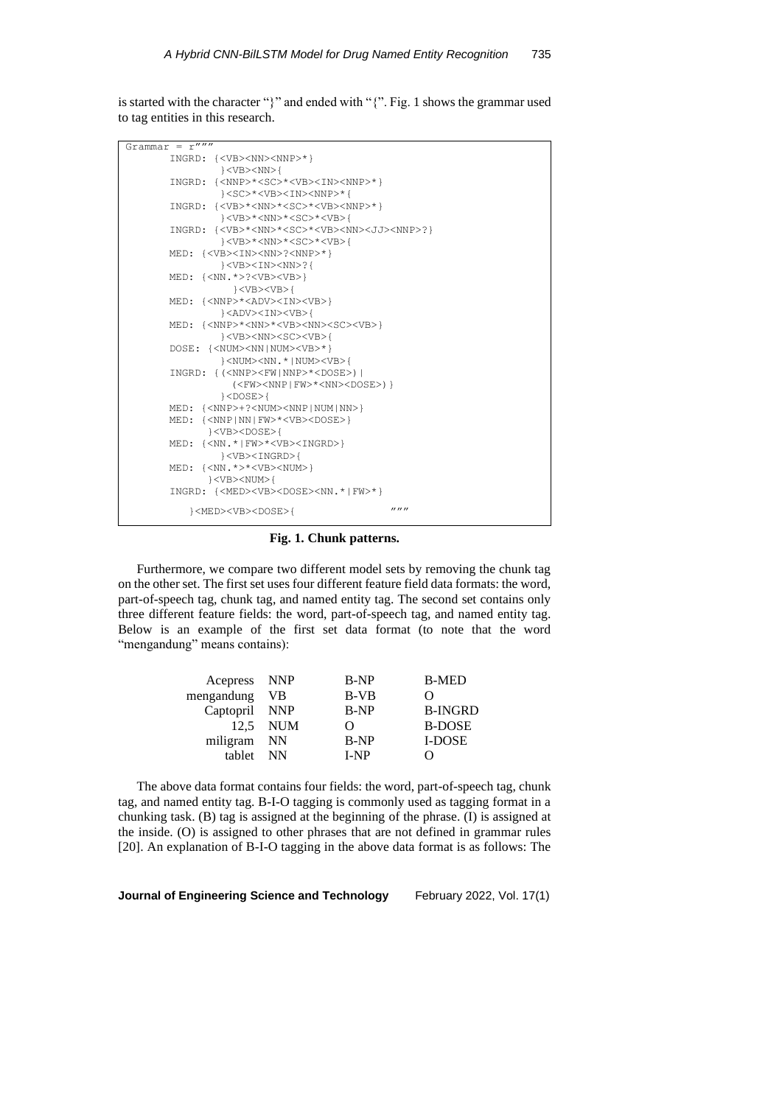is started with the character "}" and ended with "{". Fig. 1 shows the grammar used to tag entities in this research.



**Fig. 1. Chunk patterns.**

Furthermore, we compare two different model sets by removing the chunk tag on the other set. The first set uses four different feature field data formats: the word, part-of-speech tag, chunk tag, and named entity tag. The second set contains only three different feature fields: the word, part-of-speech tag, and named entity tag. Below is an example of the first set data format (to note that the word "mengandung" means contains):

| Acepress NNP |                | B-NP        | <b>B-MED</b>   |
|--------------|----------------|-------------|----------------|
| mengandung   | VB             | B-VB        | $\Omega$       |
| Captopril    | <b>NNP</b>     | B-NP        | <b>B-INGRD</b> |
|              | 12.5 NUM       | $\Omega$    | <b>B-DOSE</b>  |
| miligram     | N <sub>N</sub> | <b>B-NP</b> | <b>I-DOSE</b>  |
| tablet       | <b>NN</b>      | <b>I-NP</b> |                |
|              |                |             |                |

The above data format contains four fields: the word, part-of-speech tag, chunk tag, and named entity tag. B-I-O tagging is commonly used as tagging format in a chunking task. (B) tag is assigned at the beginning of the phrase. (I) is assigned at the inside. (O) is assigned to other phrases that are not defined in grammar rules [20]. An explanation of B-I-O tagging in the above data format is as follows: The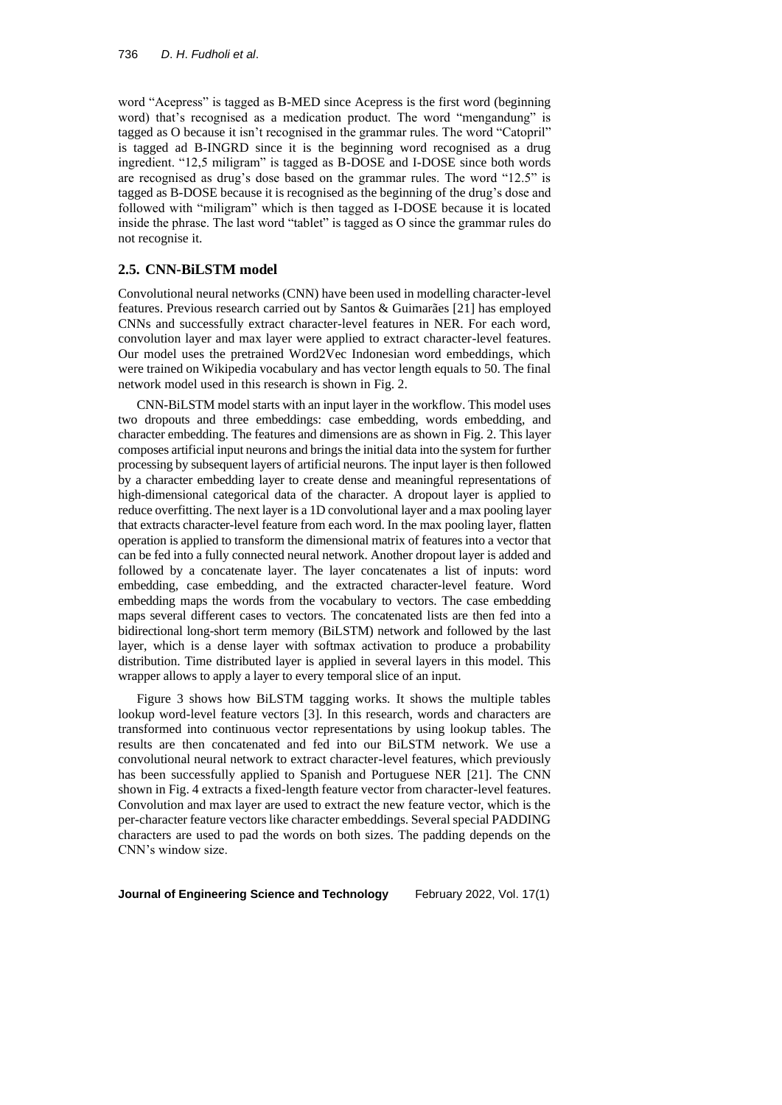word "Acepress" is tagged as B-MED since Acepress is the first word (beginning word) that's recognised as a medication product. The word "mengandung" is tagged as O because it isn't recognised in the grammar rules. The word "Catopril" is tagged ad B-INGRD since it is the beginning word recognised as a drug ingredient. "12,5 miligram" is tagged as B-DOSE and I-DOSE since both words are recognised as drug's dose based on the grammar rules. The word "12.5" is tagged as B-DOSE because it is recognised as the beginning of the drug's dose and followed with "miligram" which is then tagged as I-DOSE because it is located inside the phrase. The last word "tablet" is tagged as O since the grammar rules do not recognise it.

### **2.5. CNN-BiLSTM model**

Convolutional neural networks (CNN) have been used in modelling character-level features. Previous research carried out by Santos & Guimarães [21] has employed CNNs and successfully extract character-level features in NER. For each word, convolution layer and max layer were applied to extract character-level features. Our model uses the pretrained Word2Vec Indonesian word embeddings, which were trained on Wikipedia vocabulary and has vector length equals to 50. The final network model used in this research is shown in Fig. 2.

CNN-BiLSTM model starts with an input layer in the workflow. This model uses two dropouts and three embeddings: case embedding, words embedding, and character embedding. The features and dimensions are as shown in Fig. 2. This layer composes artificial input neurons and brings the initial data into the system for further processing by subsequent layers of artificial neurons. The input layer is then followed by a character embedding layer to create dense and meaningful representations of high-dimensional categorical data of the character. A dropout layer is applied to reduce overfitting. The next layer is a 1D convolutional layer and a max pooling layer that extracts character-level feature from each word. In the max pooling layer, flatten operation is applied to transform the dimensional matrix of features into a vector that can be fed into a fully connected neural network. Another dropout layer is added and followed by a concatenate layer. The layer concatenates a list of inputs: word embedding, case embedding, and the extracted character-level feature. Word embedding maps the words from the vocabulary to vectors. The case embedding maps several different cases to vectors. The concatenated lists are then fed into a bidirectional long-short term memory (BiLSTM) network and followed by the last layer, which is a dense layer with softmax activation to produce a probability distribution. Time distributed layer is applied in several layers in this model. This wrapper allows to apply a layer to every temporal slice of an input.

Figure 3 shows how BiLSTM tagging works. It shows the multiple tables lookup word-level feature vectors [3]. In this research, words and characters are transformed into continuous vector representations by using lookup tables. The results are then concatenated and fed into our BiLSTM network. We use a convolutional neural network to extract character-level features, which previously has been successfully applied to Spanish and Portuguese NER [21]. The CNN shown in Fig. 4 extracts a fixed-length feature vector from character-level features. Convolution and max layer are used to extract the new feature vector, which is the per-character feature vectors like character embeddings. Several special PADDING characters are used to pad the words on both sizes. The padding depends on the CNN's window size.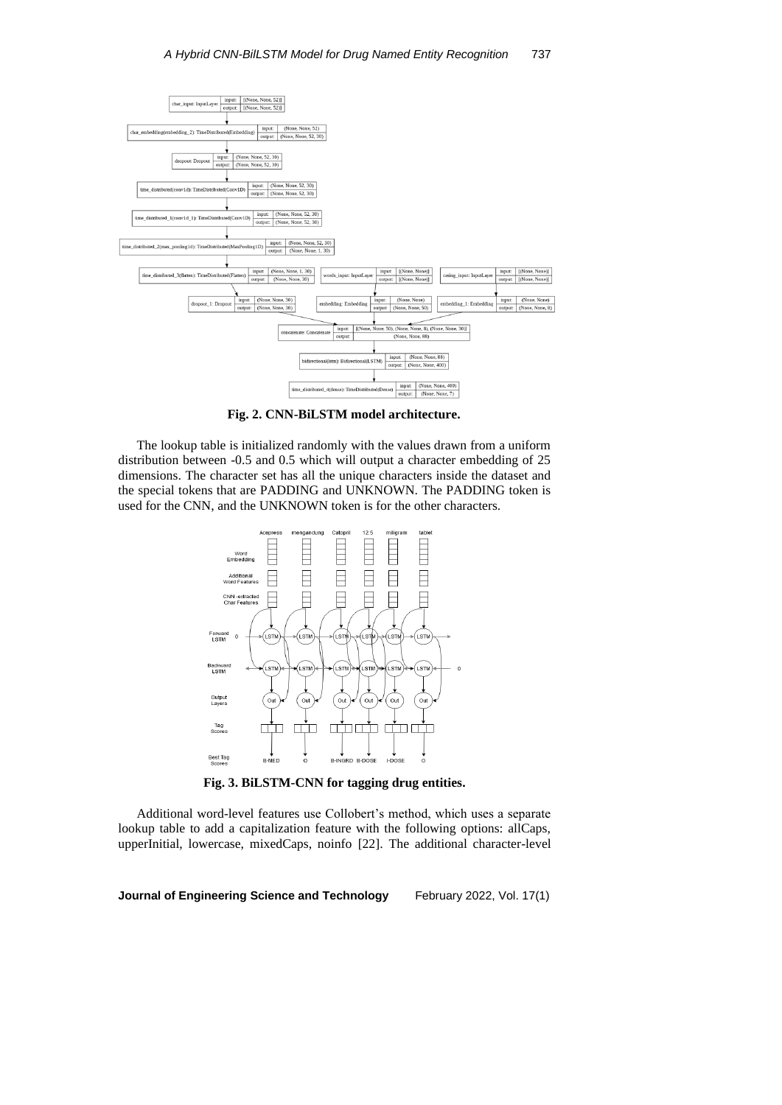

**Fig. 2. CNN-BiLSTM model architecture.**

The lookup table is initialized randomly with the values drawn from a uniform distribution between -0.5 and 0.5 which will output a character embedding of 25 dimensions. The character set has all the unique characters inside the dataset and the special tokens that are PADDING and UNKNOWN. The PADDING token is used for the CNN, and the UNKNOWN token is for the other characters.



**Fig. 3. BiLSTM-CNN for tagging drug entities.**

Additional word-level features use Collobert's method, which uses a separate lookup table to add a capitalization feature with the following options: allCaps, upperInitial, lowercase, mixedCaps, noinfo [22]. The additional character-level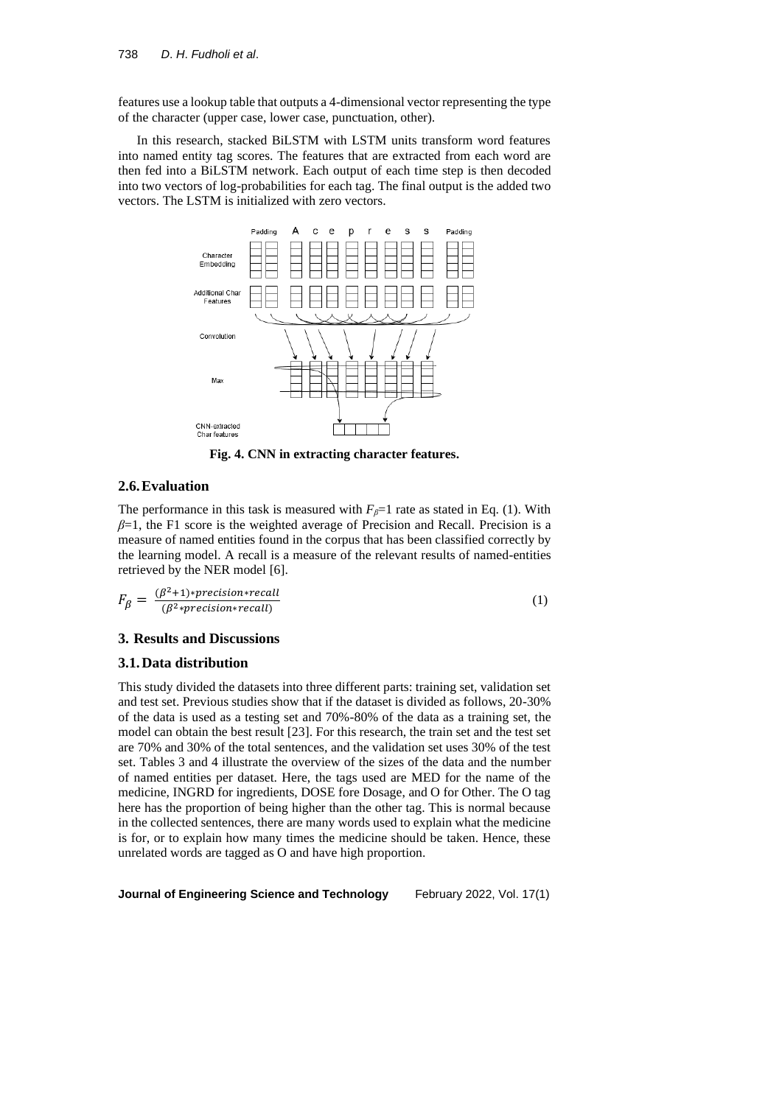features use a lookup table that outputs a 4-dimensional vector representing the type of the character (upper case, lower case, punctuation, other).

In this research, stacked BiLSTM with LSTM units transform word features into named entity tag scores. The features that are extracted from each word are then fed into a BiLSTM network. Each output of each time step is then decoded into two vectors of log-probabilities for each tag. The final output is the added two vectors. The LSTM is initialized with zero vectors.



**Fig. 4. CNN in extracting character features.**

## **2.6.Evaluation**

The performance in this task is measured with  $F_{\beta}=1$  rate as stated in Eq. (1). With *β*=1, the F1 score is the weighted average of Precision and Recall. Precision is a measure of named entities found in the corpus that has been classified correctly by the learning model. A recall is a measure of the relevant results of named-entities retrieved by the NER model [6].

$$
F_{\beta} = \frac{(\beta^2 + 1) * precision * recall}{(\beta^2 * precision * recall)}
$$
 (1)

## **3. Results and Discussions**

# **3.1.Data distribution**

This study divided the datasets into three different parts: training set, validation set and test set. Previous studies show that if the dataset is divided as follows, 20-30% of the data is used as a testing set and 70%-80% of the data as a training set, the model can obtain the best result [23]. For this research, the train set and the test set are 70% and 30% of the total sentences, and the validation set uses 30% of the test set. Tables 3 and 4 illustrate the overview of the sizes of the data and the number of named entities per dataset. Here, the tags used are MED for the name of the medicine, INGRD for ingredients, DOSE fore Dosage, and O for Other. The O tag here has the proportion of being higher than the other tag. This is normal because in the collected sentences, there are many words used to explain what the medicine is for, or to explain how many times the medicine should be taken. Hence, these unrelated words are tagged as O and have high proportion.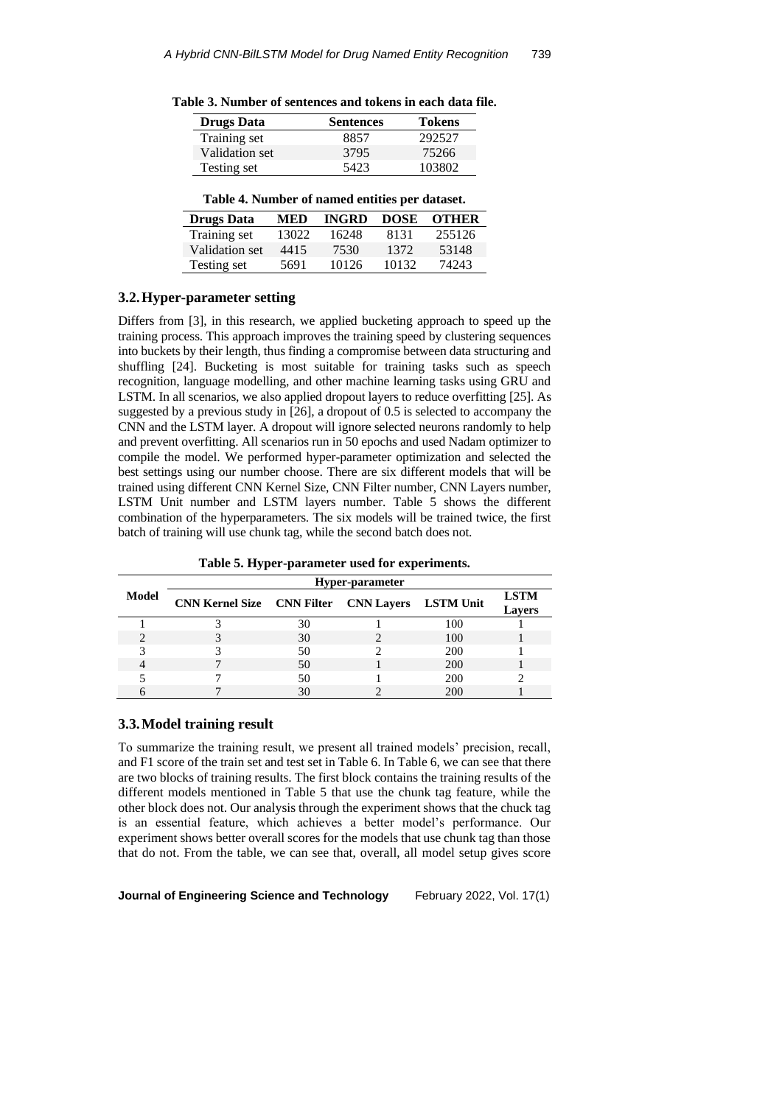| <b>Drugs Data</b> | <b>Sentences</b> | Tokens |
|-------------------|------------------|--------|
| Training set      | 8857             | 292527 |
| Validation set    | 3795             | 75266  |
| Testing set       | 5423             | 103802 |

**Table 3. Number of sentences and tokens in each data file.**

| Table 4. Number of named entities per dataset. |  |  |  |
|------------------------------------------------|--|--|--|
|------------------------------------------------|--|--|--|

| <b>Drugs Data</b> | MED   | <b>INGRD</b> | <b>DOSE</b> | OTHER  |
|-------------------|-------|--------------|-------------|--------|
| Training set      | 13022 | 16248        | 8131        | 255126 |
| Validation set    | 4415  | 7530         | 1372        | 53148  |
| Testing set       | 5691  | 10126        | 10132       | 74243  |

## **3.2.Hyper-parameter setting**

Differs from [3], in this research, we applied bucketing approach to speed up the training process. This approach improves the training speed by clustering sequences into buckets by their length, thus finding a compromise between data structuring and shuffling [24]. Bucketing is most suitable for training tasks such as speech recognition, language modelling, and other machine learning tasks using GRU and LSTM. In all scenarios, we also applied dropout layers to reduce overfitting [25]. As suggested by a previous study in [26], a dropout of 0.5 is selected to accompany the CNN and the LSTM layer. A dropout will ignore selected neurons randomly to help and prevent overfitting. All scenarios run in 50 epochs and used Nadam optimizer to compile the model. We performed hyper-parameter optimization and selected the best settings using our number choose. There are six different models that will be trained using different CNN Kernel Size, CNN Filter number, CNN Layers number, LSTM Unit number and LSTM layers number. Table 5 shows the different combination of the hyperparameters. The six models will be trained twice, the first batch of training will use chunk tag, while the second batch does not.

|  |  |  |  |  | Table 5. Hyper-parameter used for experiments. |
|--|--|--|--|--|------------------------------------------------|
|--|--|--|--|--|------------------------------------------------|

|       |                                                 |    | Hyper-parameter |     |                              |
|-------|-------------------------------------------------|----|-----------------|-----|------------------------------|
| Model | CNN Kernel Size CNN Filter CNN Layers LSTM Unit |    |                 |     | <b>LSTM</b><br><b>Lavers</b> |
|       |                                                 |    |                 | 100 |                              |
|       |                                                 | 30 |                 | 100 |                              |
|       |                                                 | 50 |                 | 200 |                              |
|       |                                                 | 50 |                 | 200 |                              |
|       |                                                 | 50 |                 | 200 |                              |
|       |                                                 |    |                 | 200 |                              |

#### **3.3.Model training result**

To summarize the training result, we present all trained models' precision, recall, and F1 score of the train set and test set in Table 6. In Table 6, we can see that there are two blocks of training results. The first block contains the training results of the different models mentioned in Table 5 that use the chunk tag feature, while the other block does not. Our analysis through the experiment shows that the chuck tag is an essential feature, which achieves a better model's performance. Our experiment shows better overall scores for the models that use chunk tag than those that do not. From the table, we can see that, overall, all model setup gives score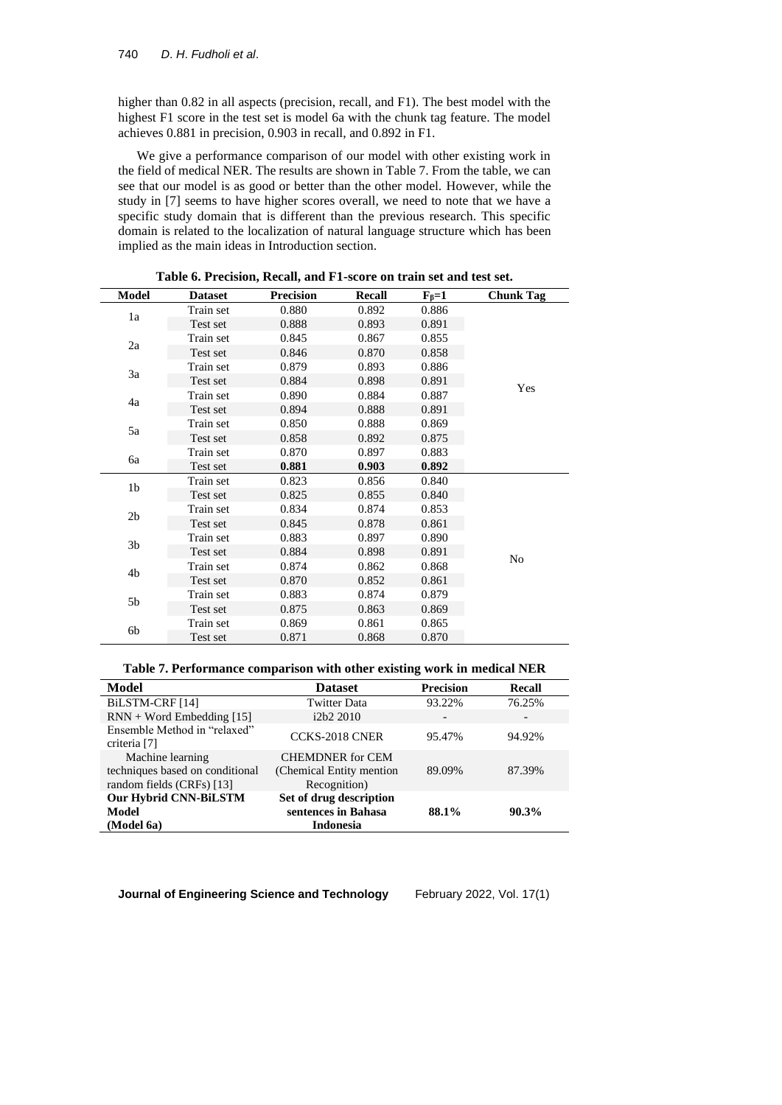higher than 0.82 in all aspects (precision, recall, and F1). The best model with the highest F1 score in the test set is model 6a with the chunk tag feature. The model achieves 0.881 in precision, 0.903 in recall, and 0.892 in F1.

We give a performance comparison of our model with other existing work in the field of medical NER. The results are shown in Table 7. From the table, we can see that our model is as good or better than the other model. However, while the study in [7] seems to have higher scores overall, we need to note that we have a specific study domain that is different than the previous research. This specific domain is related to the localization of natural language structure which has been implied as the main ideas in Introduction section.

| <b>Model</b>   | <b>Dataset</b> | <b>Precision</b> | Recall | $F_6=1$ | <b>Chunk Tag</b> |
|----------------|----------------|------------------|--------|---------|------------------|
| 1a             | Train set      | 0.880            | 0.892  | 0.886   |                  |
|                | Test set       | 0.888            | 0.893  | 0.891   |                  |
|                | Train set      | 0.845            | 0.867  | 0.855   |                  |
| 2a             | Test set       | 0.846            | 0.870  | 0.858   |                  |
| 3a             | Train set      | 0.879            | 0.893  | 0.886   |                  |
|                | Test set       | 0.884            | 0.898  | 0.891   | Yes              |
| 4a             | Train set      | 0.890            | 0.884  | 0.887   |                  |
|                | Test set       | 0.894            | 0.888  | 0.891   |                  |
| 5a             | Train set      | 0.850            | 0.888  | 0.869   |                  |
|                | Test set       | 0.858            | 0.892  | 0.875   |                  |
| 6a             | Train set      | 0.870            | 0.897  | 0.883   |                  |
|                | Test set       | 0.881            | 0.903  | 0.892   |                  |
| 1 <sub>b</sub> | Train set      | 0.823            | 0.856  | 0.840   |                  |
|                | Test set       | 0.825            | 0.855  | 0.840   |                  |
| 2 <sub>b</sub> | Train set      | 0.834            | 0.874  | 0.853   |                  |
|                | Test set       | 0.845            | 0.878  | 0.861   |                  |
|                | Train set      | 0.883            | 0.897  | 0.890   |                  |
| 3b             | Test set       | 0.884            | 0.898  | 0.891   |                  |
|                | Train set      | 0.874            | 0.862  | 0.868   | No               |
| 4b             | Test set       | 0.870            | 0.852  | 0.861   |                  |
| 5b             | Train set      | 0.883            | 0.874  | 0.879   |                  |
|                | Test set       | 0.875            | 0.863  | 0.869   |                  |
|                | Train set      | 0.869            | 0.861  | 0.865   |                  |
| 6b             | Test set       | 0.871            | 0.868  | 0.870   |                  |

**Table 6. Precision, Recall, and F1-score on train set and test set.**

## **Table 7. Performance comparison with other existing work in medical NER**

| Model                                        | <b>Dataset</b>            | <b>Precision</b>         | <b>Recall</b> |
|----------------------------------------------|---------------------------|--------------------------|---------------|
| BiLSTM-CRF [14]                              | <b>Twitter Data</b>       | 93.22%                   | 76.25%        |
| $RNN + Word Embedding [15]$                  | i2b2 2010                 | $\overline{\phantom{a}}$ |               |
| Ensemble Method in "relaxed"<br>criteria [7] | <b>CCKS-2018 CNER</b>     | 95.47%                   | 94.92%        |
| Machine learning                             | <b>CHEMDNER</b> for CEM   |                          |               |
| techniques based on conditional              | (Chemical Entity mention) | 89.09%                   | 87.39%        |
| random fields (CRFs) [13]                    | Recognition)              |                          |               |
| <b>Our Hybrid CNN-BiLSTM</b>                 | Set of drug description   |                          |               |
| Model                                        | sentences in Bahasa       | 88.1%                    | $90.3\%$      |
| (Model 6a)                                   | <b>Indonesia</b>          |                          |               |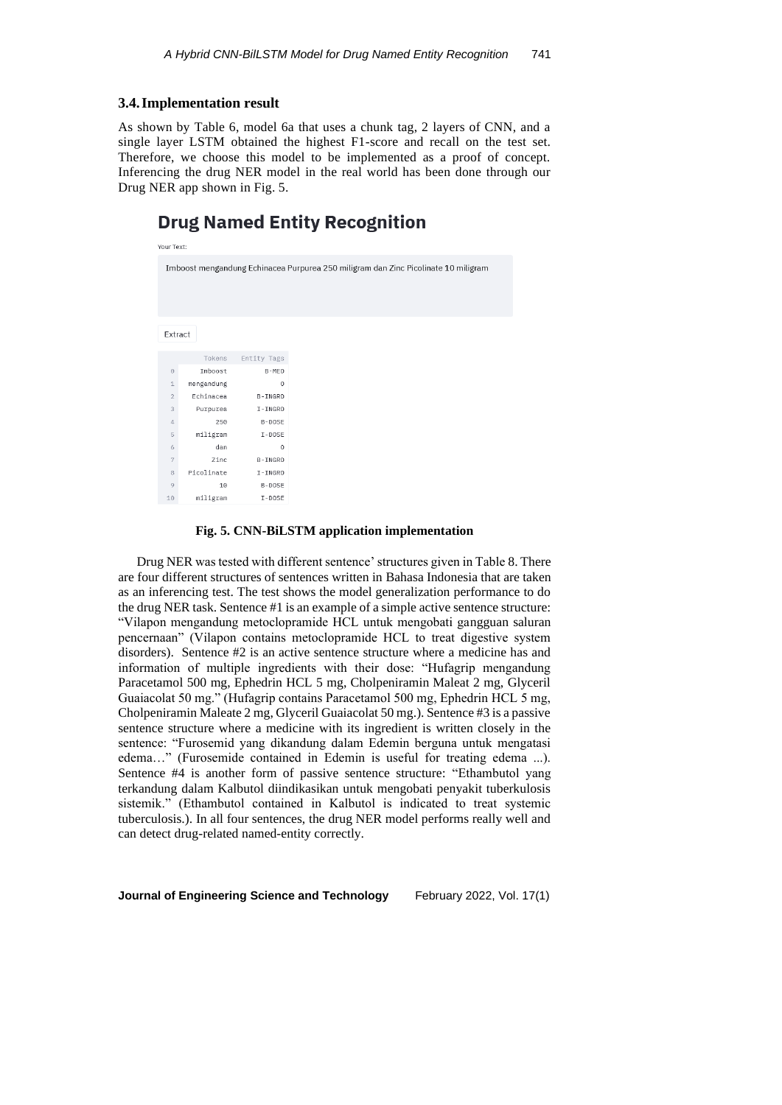#### **3.4.Implementation result**

**Your Text** 

As shown by Table 6, model 6a that uses a chunk tag, 2 layers of CNN, and a single layer LSTM obtained the highest F1-score and recall on the test set. Therefore, we choose this model to be implemented as a proof of concept. Inferencing the drug NER model in the real world has been done through our Drug NER app shown in Fig. 5.

# **Drug Named Entity Recognition**

| .                                                                                  |            |                |  |  |  |  |
|------------------------------------------------------------------------------------|------------|----------------|--|--|--|--|
| Imboost mengandung Echinacea Purpurea 250 miligram dan Zinc Picolinate 10 miligram |            |                |  |  |  |  |
| Extract                                                                            |            |                |  |  |  |  |
|                                                                                    | Tokens     | Entity Tags    |  |  |  |  |
| $\Theta$                                                                           | Imboost    | B-MED          |  |  |  |  |
| $\,1\,$                                                                            | mengandung | $\circ$        |  |  |  |  |
| $\overline{2}$                                                                     | Echinacea  | <b>B-INGRD</b> |  |  |  |  |
| 3                                                                                  | Purpurea   | I-INGRD        |  |  |  |  |
| 4                                                                                  | 250        | B-DOSE         |  |  |  |  |
| 5                                                                                  | miligram   | $I - DOSE$     |  |  |  |  |
| 6                                                                                  | dan        | $\circ$        |  |  |  |  |
| 7                                                                                  | Zinc       | <b>B-INGRD</b> |  |  |  |  |
| 8                                                                                  | Picolinate | I-INGRD        |  |  |  |  |
| 9                                                                                  | 10         | B-DOSE         |  |  |  |  |
| 10                                                                                 | miligram   | I-DOSE         |  |  |  |  |

#### **Fig. 5. CNN-BiLSTM application implementation**

Drug NER was tested with different sentence' structures given in Table 8. There are four different structures of sentences written in Bahasa Indonesia that are taken as an inferencing test. The test shows the model generalization performance to do the drug NER task. Sentence #1 is an example of a simple active sentence structure: "Vilapon mengandung metoclopramide HCL untuk mengobati gangguan saluran pencernaan" (Vilapon contains metoclopramide HCL to treat digestive system disorders). Sentence #2 is an active sentence structure where a medicine has and information of multiple ingredients with their dose: "Hufagrip mengandung Paracetamol 500 mg, Ephedrin HCL 5 mg, Cholpeniramin Maleat 2 mg, Glyceril Guaiacolat 50 mg." (Hufagrip contains Paracetamol 500 mg, Ephedrin HCL 5 mg, Cholpeniramin Maleate 2 mg, Glyceril Guaiacolat 50 mg.). Sentence #3 is a passive sentence structure where a medicine with its ingredient is written closely in the sentence: "Furosemid yang dikandung dalam Edemin berguna untuk mengatasi edema…" (Furosemide contained in Edemin is useful for treating edema ...). Sentence #4 is another form of passive sentence structure: "Ethambutol yang terkandung dalam Kalbutol diindikasikan untuk mengobati penyakit tuberkulosis sistemik." (Ethambutol contained in Kalbutol is indicated to treat systemic tuberculosis.). In all four sentences, the drug NER model performs really well and can detect drug-related named-entity correctly.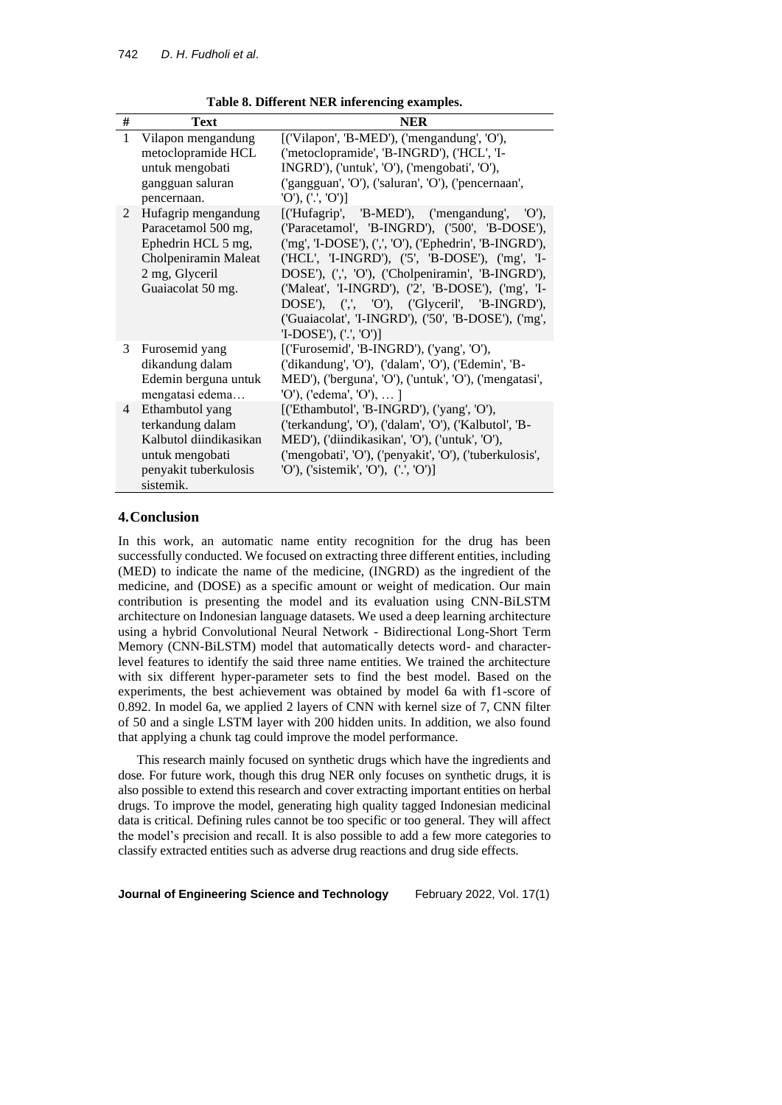**Table 8. Different NER inferencing examples.**

| # | <b>Text</b>                                                                                                                     | <b>NER</b>                                                                                                                                                                                                                                                                                                                                                                                                                                                                |
|---|---------------------------------------------------------------------------------------------------------------------------------|---------------------------------------------------------------------------------------------------------------------------------------------------------------------------------------------------------------------------------------------------------------------------------------------------------------------------------------------------------------------------------------------------------------------------------------------------------------------------|
| 1 | Vilapon mengandung<br>metoclopramide HCL<br>untuk mengobati<br>gangguan saluran<br>pencernaan.                                  | [('Vilapon', 'B-MED'), ('mengandung', 'O'),<br>('metoclopramide', 'B-INGRD'), ('HCL', 'I-<br>INGRD'), ('untuk', 'O'), ('mengobati', 'O'),<br>('gangguan', 'O'), ('saluran', 'O'), ('pencernaan',<br>[O'), ('.', 'O')]                                                                                                                                                                                                                                                     |
| 2 | Hufagrip mengandung<br>Paracetamol 500 mg,<br>Ephedrin HCL 5 mg,<br>Cholpeniramin Maleat<br>2 mg, Glyceril<br>Guaiacolat 50 mg. | [('Hufagrip', 'B-MED'), ('mengandung', 'O'),<br>('Paracetamol', 'B-INGRD'), ('500', 'B-DOSE'),<br>('mg', 'I-DOSE'), (',', 'O'), ('Ephedrin', 'B-INGRD'),<br>('HCL', 'I-INGRD'), ('5', 'B-DOSE'), ('mg', 'I-<br>DOSE'), (',', 'O'), ('Cholpeniramin', 'B-INGRD'),<br>('Maleat', 'I-INGRD'), ('2', 'B-DOSE'), ('mg', 'I-<br>DOSE'), (',', 'O'), ('Glyceril', 'B-INGRD'),<br>('Guaiacolat', 'I-INGRD'), ('50', 'B-DOSE'), ('mg',<br>$[T-DOSE$ <sup>'</sup> , $(','', 'O')$ ] |
| 3 | Furosemid yang<br>dikandung dalam<br>Edemin berguna untuk<br>mengatasi edema                                                    | [('Furosemid', 'B-INGRD'), ('yang', 'O'),<br>('dikandung', 'O'), ('dalam', 'O'), ('Edemin', 'B-<br>MED'), ('berguna', 'O'), ('untuk', 'O'), ('mengatasi',<br>$'O'$ ), ('edema', 'O'),  ]                                                                                                                                                                                                                                                                                  |
| 4 | Ethambutol yang<br>terkandung dalam<br>Kalbutol diindikasikan<br>untuk mengobati<br>penyakit tuberkulosis<br>sistemik.          | [('Ethambutol', 'B-INGRD'), $(\text{yang}, 'O')$ ,<br>('terkandung', 'O'), ('dalam', 'O'), ('Kalbutol', 'B-<br>MED'), ('diindikasikan', 'O'), ('untuk', 'O'),<br>('mengobati', 'O'), ('penyakit', 'O'), ('tuberkulosis',<br>'O'), ('sistemik', 'O'), ('.', 'O')]                                                                                                                                                                                                          |

## **4.Conclusion**

In this work, an automatic name entity recognition for the drug has been successfully conducted. We focused on extracting three different entities, including (MED) to indicate the name of the medicine, (INGRD) as the ingredient of the medicine, and (DOSE) as a specific amount or weight of medication. Our main contribution is presenting the model and its evaluation using CNN-BiLSTM architecture on Indonesian language datasets. We used a deep learning architecture using a hybrid Convolutional Neural Network - Bidirectional Long-Short Term Memory (CNN-BiLSTM) model that automatically detects word- and characterlevel features to identify the said three name entities. We trained the architecture with six different hyper-parameter sets to find the best model. Based on the experiments, the best achievement was obtained by model 6a with f1-score of 0.892. In model 6a, we applied 2 layers of CNN with kernel size of 7, CNN filter of 50 and a single LSTM layer with 200 hidden units. In addition, we also found that applying a chunk tag could improve the model performance.

This research mainly focused on synthetic drugs which have the ingredients and dose. For future work, though this drug NER only focuses on synthetic drugs, it is also possible to extend this research and cover extracting important entities on herbal drugs. To improve the model, generating high quality tagged Indonesian medicinal data is critical. Defining rules cannot be too specific or too general. They will affect the model's precision and recall. It is also possible to add a few more categories to classify extracted entities such as adverse drug reactions and drug side effects.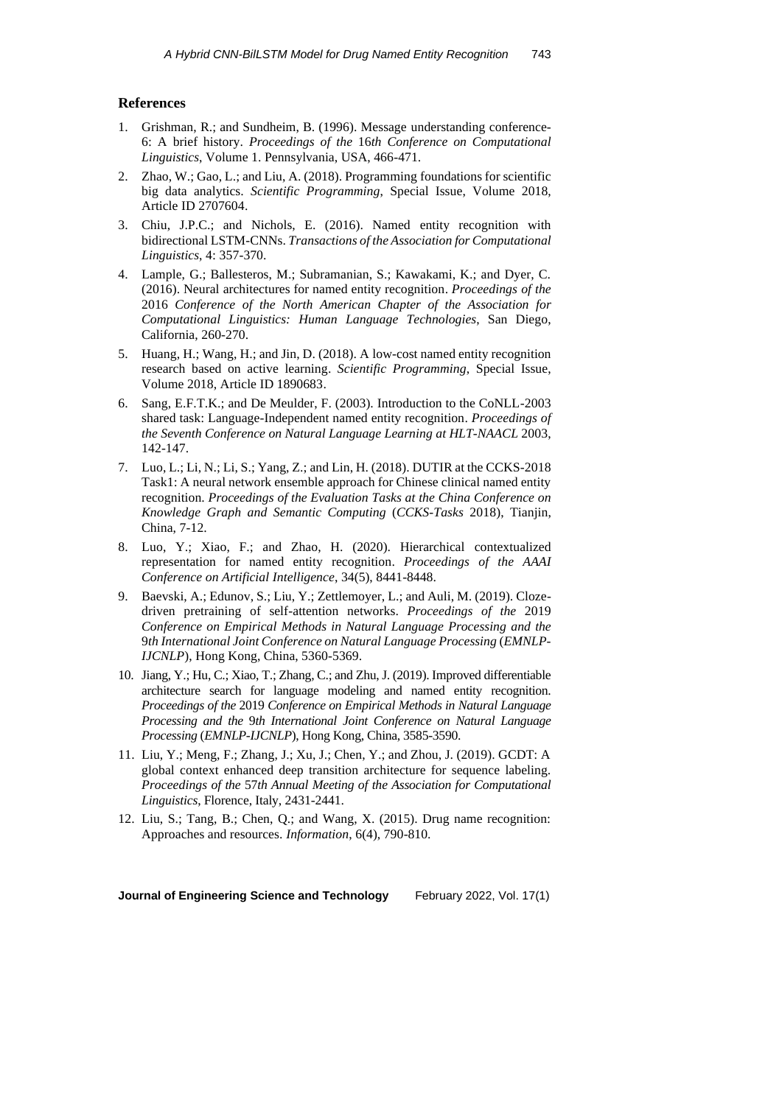#### **References**

- 1. Grishman, R.; and Sundheim, B. (1996). Message understanding conference-6: A brief history. *Proceedings of the* 16*th Conference on Computational Linguistics*, Volume 1. Pennsylvania, USA, 466-471.
- 2. Zhao, W.; Gao, L.; and Liu, A. (2018). Programming foundations for scientific big data analytics. *Scientific Programming*, Special Issue, Volume 2018, Article ID 2707604.
- 3. Chiu, J.P.C.; and Nichols, E. (2016). Named entity recognition with bidirectional LSTM-CNNs. *Transactions of the Association for Computational Linguistics*, 4: 357-370.
- 4. Lample, G.; Ballesteros, M.; Subramanian, S.; Kawakami, K.; and Dyer, C. (2016). Neural architectures for named entity recognition. *Proceedings of the* 2016 *Conference of the North American Chapter of the Association for Computational Linguistics: Human Language Technologies*, San Diego, California, 260-270.
- 5. Huang, H.; Wang, H.; and Jin, D. (2018). A low-cost named entity recognition research based on active learning. *Scientific Programming*, Special Issue, Volume 2018, Article ID 1890683.
- 6. Sang, E.F.T.K.; and De Meulder, F. (2003). Introduction to the CoNLL-2003 shared task: Language-Independent named entity recognition. *Proceedings of the Seventh Conference on Natural Language Learning at HLT-NAACL* 2003, 142-147.
- 7. Luo, L.; Li, N.; Li, S.; Yang, Z.; and Lin, H. (2018). DUTIR at the CCKS-2018 Task1: A neural network ensemble approach for Chinese clinical named entity recognition. *Proceedings of the Evaluation Tasks at the China Conference on Knowledge Graph and Semantic Computing* (*CCKS-Tasks* 2018), Tianjin, China, 7-12.
- 8. Luo, Y.; Xiao, F.; and Zhao, H. (2020). Hierarchical contextualized representation for named entity recognition. *Proceedings of the AAAI Conference on Artificial Intelligence*, 34(5), 8441-8448.
- 9. Baevski, A.; Edunov, S.; Liu, Y.; Zettlemoyer, L.; and Auli, M. (2019). Clozedriven pretraining of self-attention networks. *Proceedings of the* 2019 *Conference on Empirical Methods in Natural Language Processing and the* 9*th International Joint Conference on Natural Language Processing* (*EMNLP-IJCNLP*), Hong Kong, China, 5360-5369.
- 10. Jiang, Y.; Hu, C.; Xiao, T.; Zhang, C.; and Zhu, J. (2019). Improved differentiable architecture search for language modeling and named entity recognition. *Proceedings of the* 2019 *Conference on Empirical Methods in Natural Language Processing and the* 9*th International Joint Conference on Natural Language Processing* (*EMNLP-IJCNLP*), Hong Kong, China, 3585-3590.
- 11. Liu, Y.; Meng, F.; Zhang, J.; Xu, J.; Chen, Y.; and Zhou, J. (2019). GCDT: A global context enhanced deep transition architecture for sequence labeling. *Proceedings of the* 57*th Annual Meeting of the Association for Computational Linguistics*, Florence, Italy, 2431-2441.
- 12. Liu, S.; Tang, B.; Chen, Q.; and Wang, X. (2015). Drug name recognition: Approaches and resources. *Information*, 6(4), 790-810.